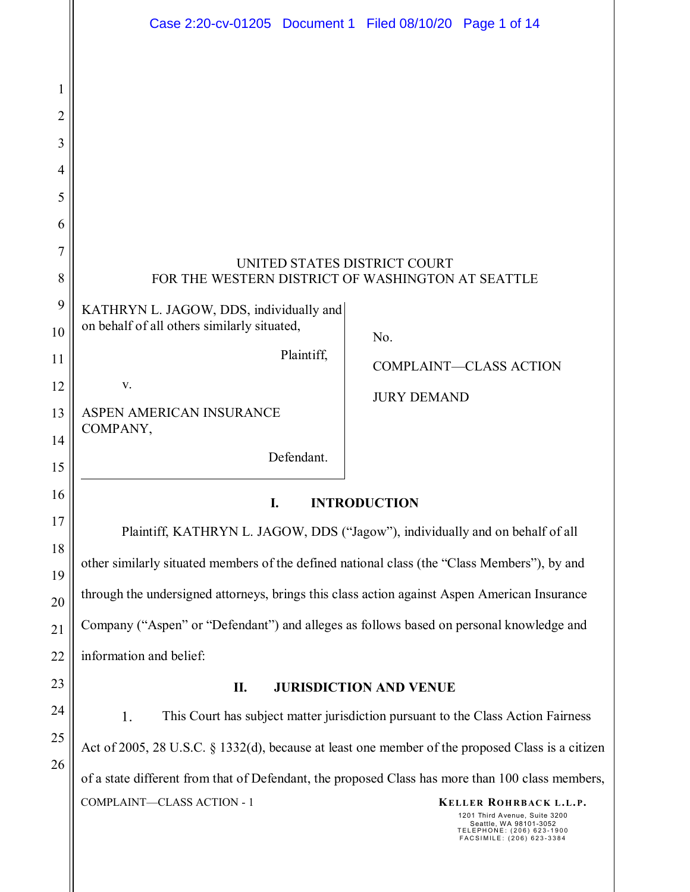|                            | Case 2:20-cv-01205 Document 1 Filed 08/10/20 Page 1 of 14                                                                                                                                                                                                                                                  |  |  |
|----------------------------|------------------------------------------------------------------------------------------------------------------------------------------------------------------------------------------------------------------------------------------------------------------------------------------------------------|--|--|
| 1<br>2<br>3<br>4<br>5<br>6 |                                                                                                                                                                                                                                                                                                            |  |  |
| $\overline{7}$<br>8        | UNITED STATES DISTRICT COURT<br>FOR THE WESTERN DISTRICT OF WASHINGTON AT SEATTLE                                                                                                                                                                                                                          |  |  |
| 9<br>10                    | KATHRYN L. JAGOW, DDS, individually and<br>on behalf of all others similarly situated,<br>No.                                                                                                                                                                                                              |  |  |
| 11                         | Plaintiff,<br><b>COMPLAINT-CLASS ACTION</b>                                                                                                                                                                                                                                                                |  |  |
| 12<br>13                   | V.<br><b>JURY DEMAND</b><br>ASPEN AMERICAN INSURANCE                                                                                                                                                                                                                                                       |  |  |
| 14<br>15                   | COMPANY,<br>Defendant.                                                                                                                                                                                                                                                                                     |  |  |
| 16                         | I.<br><b>INTRODUCTION</b><br>Plaintiff, KATHRYN L. JAGOW, DDS ("Jagow"), individually and on behalf of all<br>other similarly situated members of the defined national class (the "Class Members"), by and<br>through the undersigned attorneys, brings this class action against Aspen American Insurance |  |  |
| 17<br>18                   |                                                                                                                                                                                                                                                                                                            |  |  |
| 19                         |                                                                                                                                                                                                                                                                                                            |  |  |
| 20<br>21                   | Company ("Aspen" or "Defendant") and alleges as follows based on personal knowledge and                                                                                                                                                                                                                    |  |  |
| 22                         | information and belief:                                                                                                                                                                                                                                                                                    |  |  |
| 23                         | <b>JURISDICTION AND VENUE</b><br>П.                                                                                                                                                                                                                                                                        |  |  |
| 24<br>25                   | 1.<br>This Court has subject matter jurisdiction pursuant to the Class Action Fairness<br>Act of 2005, 28 U.S.C. § 1332(d), because at least one member of the proposed Class is a citizen                                                                                                                 |  |  |
| 26                         |                                                                                                                                                                                                                                                                                                            |  |  |
|                            | of a state different from that of Defendant, the proposed Class has more than 100 class members,<br>COMPLAINT-CLASS ACTION - 1<br>KELLER ROHRBACK L.L.P.<br>1201 Third Avenue, Suite 3200                                                                                                                  |  |  |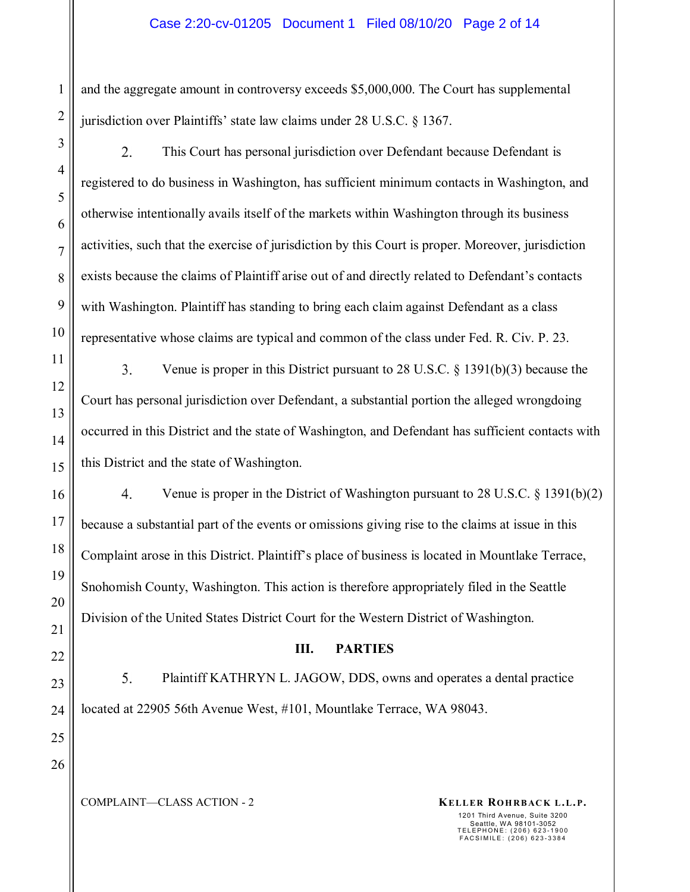#### Case 2:20-cv-01205 Document 1 Filed 08/10/20 Page 2 of 14

and the aggregate amount in controversy exceeds \$5,000,000. The Court has supplemental jurisdiction over Plaintiffs' state law claims under 28 U.S.C. § 1367.

2. This Court has personal jurisdiction over Defendant because Defendant is registered to do business in Washington, has sufficient minimum contacts in Washington, and otherwise intentionally avails itself of the markets within Washington through its business activities, such that the exercise of jurisdiction by this Court is proper. Moreover, jurisdiction exists because the claims of Plaintiff arise out of and directly related to Defendant's contacts with Washington. Plaintiff has standing to bring each claim against Defendant as a class representative whose claims are typical and common of the class under Fed. R. Civ. P. 23.

3. Venue is proper in this District pursuant to 28 U.S.C. § 1391(b)(3) because the Court has personal jurisdiction over Defendant, a substantial portion the alleged wrongdoing occurred in this District and the state of Washington, and Defendant has sufficient contacts with this District and the state of Washington.

4. Venue is proper in the District of Washington pursuant to 28 U.S.C.  $\S$  1391(b)(2) because a substantial part of the events or omissions giving rise to the claims at issue in this Complaint arose in this District. Plaintiff's place of business is located in Mountlake Terrace, Snohomish County, Washington. This action is therefore appropriately filed in the Seattle Division of the United States District Court for the Western District of Washington.

#### **III. PARTIES**

5. Plaintiff KATHRYN L. JAGOW, DDS, owns and operates a dental practice located at 22905 56th Avenue West, #101, Mountlake Terrace, WA 98043.

24 25 26

1

2

3

4

5

6

7

8

9

10

11

12

13

14

15

16

17

18

19

20

21

22

23

## COMPLAINT—CLASS ACTION - 2 **KELLER ROHRBACK L.L.P.**

1201 Third Avenue, Suite 3200

Seattle, WA 98101-3052 TELEPHONE: (206) 623-1900 FACSIMILE: (206) 623-3384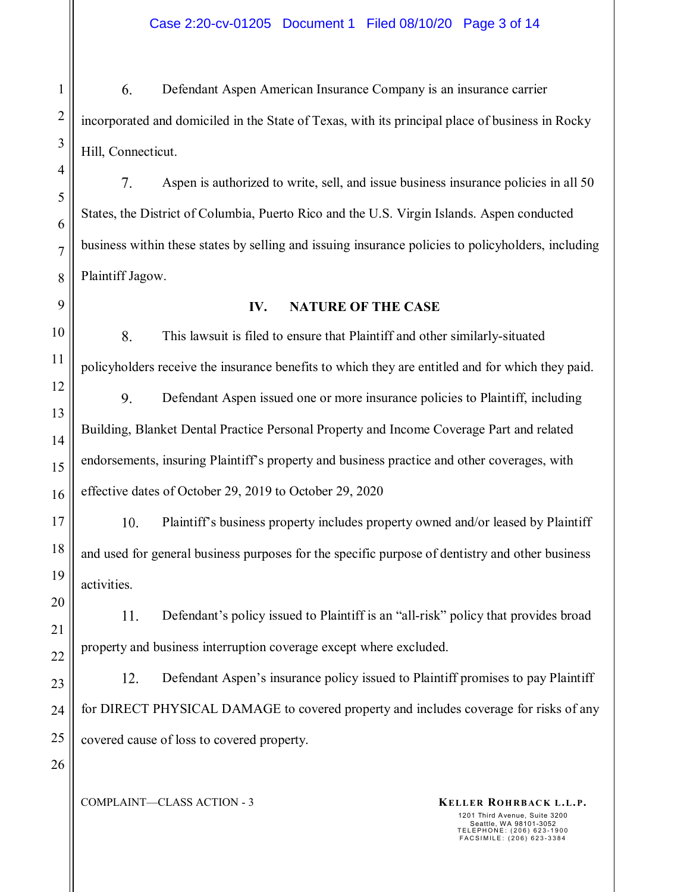6. Defendant Aspen American Insurance Company is an insurance carrier incorporated and domiciled in the State of Texas, with its principal place of business in Rocky Hill, Connecticut.

7. Aspen is authorized to write, sell, and issue business insurance policies in all 50 States, the District of Columbia, Puerto Rico and the U.S. Virgin Islands. Aspen conducted business within these states by selling and issuing insurance policies to policyholders, including Plaintiff Jagow.

### **IV. NATURE OF THE CASE**

8. This lawsuit is filed to ensure that Plaintiff and other similarly-situated policyholders receive the insurance benefits to which they are entitled and for which they paid.

9. Defendant Aspen issued one or more insurance policies to Plaintiff, including Building, Blanket Dental Practice Personal Property and Income Coverage Part and related endorsements, insuring Plaintiff's property and business practice and other coverages, with effective dates of October 29, 2019 to October 29, 2020

 $10.$ Plaintiff's business property includes property owned and/or leased by Plaintiff and used for general business purposes for the specific purpose of dentistry and other business activities.

11. Defendant's policy issued to Plaintiff is an "all-risk" policy that provides broad property and business interruption coverage except where excluded.

12. Defendant Aspen's insurance policy issued to Plaintiff promises to pay Plaintiff for DIRECT PHYSICAL DAMAGE to covered property and includes coverage for risks of any covered cause of loss to covered property.

COMPLAINT—CLASS ACTION - 3 **KELLER ROHRBACK L.L.P.**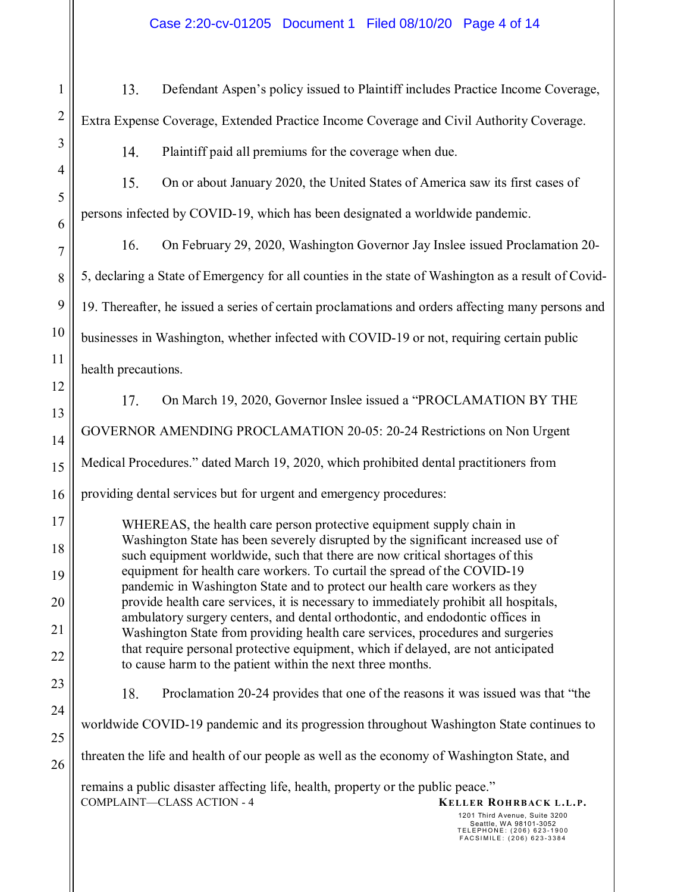13. Defendant Aspen's policy issued to Plaintiff includes Practice Income Coverage, Extra Expense Coverage, Extended Practice Income Coverage and Civil Authority Coverage.

 $14.$ Plaintiff paid all premiums for the coverage when due.

 $15.$ On or about January 2020, the United States of America saw its first cases of persons infected by COVID-19, which has been designated a worldwide pandemic.

16. On February 29, 2020, Washington Governor Jay Inslee issued Proclamation 20- 5, declaring a State of Emergency for all counties in the state of Washington as a result of Covid-19. Thereafter, he issued a series of certain proclamations and orders affecting many persons and businesses in Washington, whether infected with COVID-19 or not, requiring certain public health precautions.

17. On March 19, 2020, Governor Inslee issued a "PROCLAMATION BY THE GOVERNOR AMENDING PROCLAMATION 20-05: 20-24 Restrictions on Non Urgent Medical Procedures." dated March 19, 2020, which prohibited dental practitioners from providing dental services but for urgent and emergency procedures:

WHEREAS, the health care person protective equipment supply chain in Washington State has been severely disrupted by the significant increased use of such equipment worldwide, such that there are now critical shortages of this equipment for health care workers. To curtail the spread of the COVID-19 pandemic in Washington State and to protect our health care workers as they provide health care services, it is necessary to immediately prohibit all hospitals, ambulatory surgery centers, and dental orthodontic, and endodontic offices in Washington State from providing health care services, procedures and surgeries that require personal protective equipment, which if delayed, are not anticipated to cause harm to the patient within the next three months.

18. Proclamation 20-24 provides that one of the reasons it was issued was that "the

worldwide COVID-19 pandemic and its progression throughout Washington State continues to

threaten the life and health of our people as well as the economy of Washington State, and

COMPLAINT—CLASS ACTION - 4 **KELLER ROHRBACK L.L.P.** remains a public disaster affecting life, health, property or the public peace."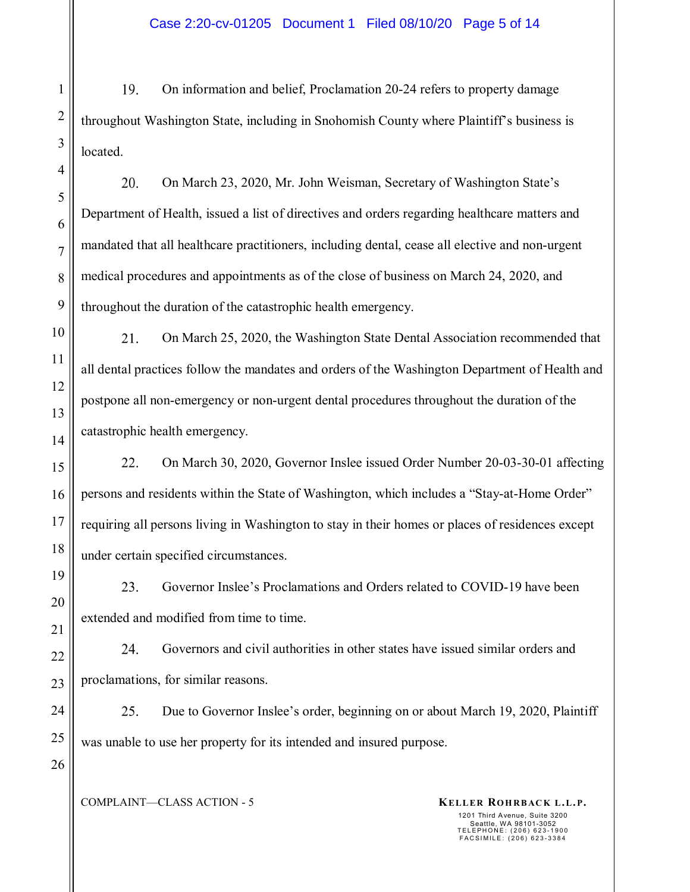19. On information and belief, Proclamation 20-24 refers to property damage throughout Washington State, including in Snohomish County where Plaintiff's business is located.

20. On March 23, 2020, Mr. John Weisman, Secretary of Washington State's Department of Health, issued a list of directives and orders regarding healthcare matters and mandated that all healthcare practitioners, including dental, cease all elective and non-urgent medical procedures and appointments as of the close of business on March 24, 2020, and throughout the duration of the catastrophic health emergency.

21. On March 25, 2020, the Washington State Dental Association recommended that all dental practices follow the mandates and orders of the Washington Department of Health and postpone all non-emergency or non-urgent dental procedures throughout the duration of the catastrophic health emergency.

22. On March 30, 2020, Governor Inslee issued Order Number 20-03-30-01 affecting persons and residents within the State of Washington, which includes a "Stay-at-Home Order" requiring all persons living in Washington to stay in their homes or places of residences except under certain specified circumstances.

23. Governor Inslee's Proclamations and Orders related to COVID-19 have been extended and modified from time to time.

Governors and civil authorities in other states have issued similar orders and 24. proclamations, for similar reasons.

25. Due to Governor Inslee's order, beginning on or about March 19, 2020, Plaintiff was unable to use her property for its intended and insured purpose.

COMPLAINT—CLASS ACTION - 5 **KELLER ROHRBACK L.L.P.**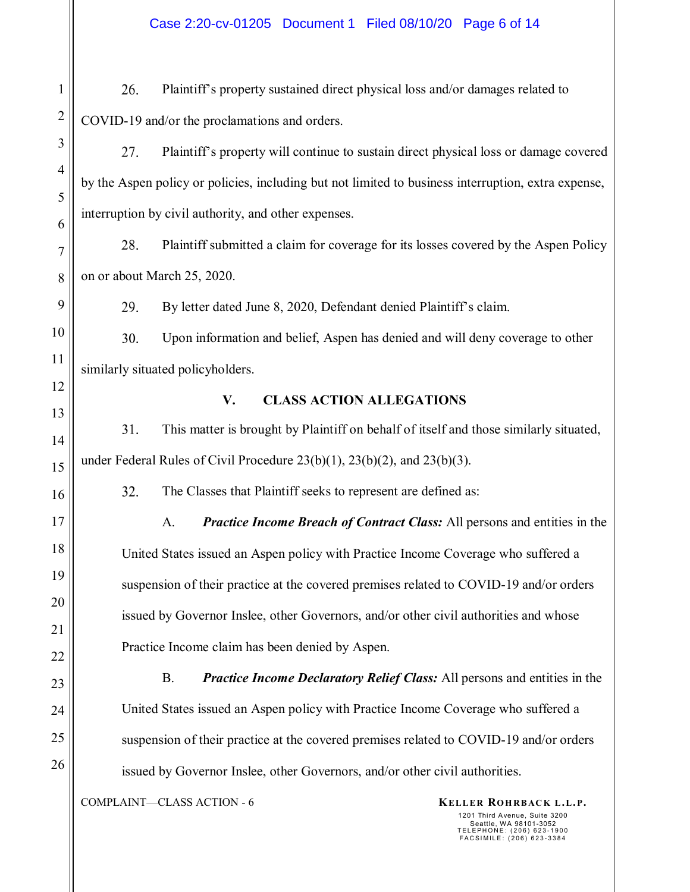26. Plaintiff's property sustained direct physical loss and/or damages related to COVID-19 and/or the proclamations and orders.

27. Plaintiff's property will continue to sustain direct physical loss or damage covered by the Aspen policy or policies, including but not limited to business interruption, extra expense, interruption by civil authority, and other expenses.

28. Plaintiff submitted a claim for coverage for its losses covered by the Aspen Policy on or about March 25, 2020.

29. By letter dated June 8, 2020, Defendant denied Plaintiff's claim.

30. Upon information and belief, Aspen has denied and will deny coverage to other similarly situated policyholders.

# **V. CLASS ACTION ALLEGATIONS**

31. This matter is brought by Plaintiff on behalf of itself and those similarly situated, under Federal Rules of Civil Procedure 23(b)(1), 23(b)(2), and 23(b)(3).

32. The Classes that Plaintiff seeks to represent are defined as:

A. *Practice Income Breach of Contract Class:* All persons and entities in the United States issued an Aspen policy with Practice Income Coverage who suffered a suspension of their practice at the covered premises related to COVID-19 and/or orders issued by Governor Inslee, other Governors, and/or other civil authorities and whose Practice Income claim has been denied by Aspen.

B. *Practice Income Declaratory Relief Class:* All persons and entities in the United States issued an Aspen policy with Practice Income Coverage who suffered a suspension of their practice at the covered premises related to COVID-19 and/or orders issued by Governor Inslee, other Governors, and/or other civil authorities.

COMPLAINT—CLASS ACTION - 6 **KELLER ROHRBACK L.L.P.**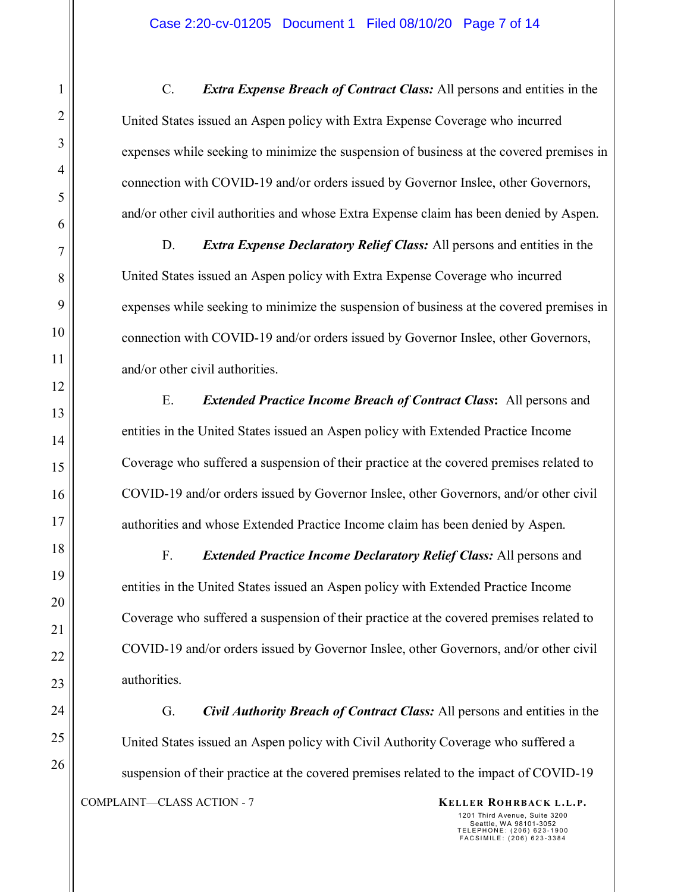C. *Extra Expense Breach of Contract Class:* All persons and entities in the United States issued an Aspen policy with Extra Expense Coverage who incurred expenses while seeking to minimize the suspension of business at the covered premises in connection with COVID-19 and/or orders issued by Governor Inslee, other Governors, and/or other civil authorities and whose Extra Expense claim has been denied by Aspen.

D. *Extra Expense Declaratory Relief Class:* All persons and entities in the United States issued an Aspen policy with Extra Expense Coverage who incurred expenses while seeking to minimize the suspension of business at the covered premises in connection with COVID-19 and/or orders issued by Governor Inslee, other Governors, and/or other civil authorities.

E. *Extended Practice Income Breach of Contract Class***:** All persons and entities in the United States issued an Aspen policy with Extended Practice Income Coverage who suffered a suspension of their practice at the covered premises related to COVID-19 and/or orders issued by Governor Inslee, other Governors, and/or other civil authorities and whose Extended Practice Income claim has been denied by Aspen.

F. *Extended Practice Income Declaratory Relief Class:* All persons and entities in the United States issued an Aspen policy with Extended Practice Income Coverage who suffered a suspension of their practice at the covered premises related to COVID-19 and/or orders issued by Governor Inslee, other Governors, and/or other civil authorities.

COMPLAINT—CLASS ACTION - 7 **KELLER ROHRBACK L.L.P.** G. *Civil Authority Breach of Contract Class:* All persons and entities in the United States issued an Aspen policy with Civil Authority Coverage who suffered a suspension of their practice at the covered premises related to the impact of COVID-19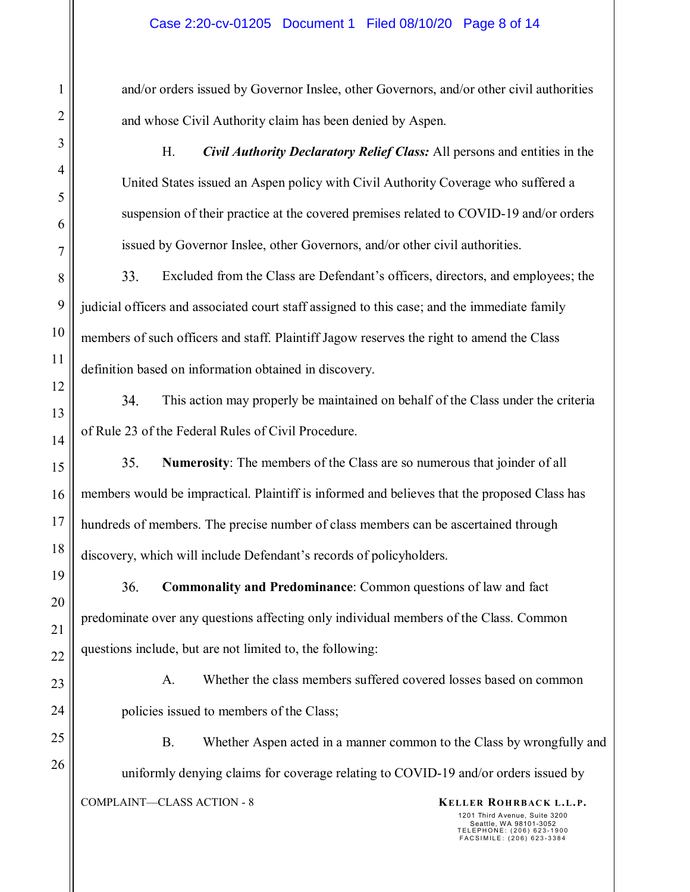and/or orders issued by Governor Inslee, other Governors, and/or other civil authorities and whose Civil Authority claim has been denied by Aspen.

H. *Civil Authority Declaratory Relief Class:* All persons and entities in the United States issued an Aspen policy with Civil Authority Coverage who suffered a suspension of their practice at the covered premises related to COVID-19 and/or orders issued by Governor Inslee, other Governors, and/or other civil authorities.

33. Excluded from the Class are Defendant's officers, directors, and employees; the judicial officers and associated court staff assigned to this case; and the immediate family members of such officers and staff. Plaintiff Jagow reserves the right to amend the Class definition based on information obtained in discovery.

34. This action may properly be maintained on behalf of the Class under the criteria of Rule 23 of the Federal Rules of Civil Procedure.

35. **Numerosity**: The members of the Class are so numerous that joinder of all members would be impractical. Plaintiff is informed and believes that the proposed Class has hundreds of members. The precise number of class members can be ascertained through discovery, which will include Defendant's records of policyholders.

**Commonality and Predominance**: Common questions of law and fact 36. predominate over any questions affecting only individual members of the Class. Common questions include, but are not limited to, the following:

A. Whether the class members suffered covered losses based on common policies issued to members of the Class;

COMPLAINT—CLASS ACTION - 8 **KELLER ROHRBACK L.L.P.** B. Whether Aspen acted in a manner common to the Class by wrongfully and uniformly denying claims for coverage relating to COVID-19 and/or orders issued by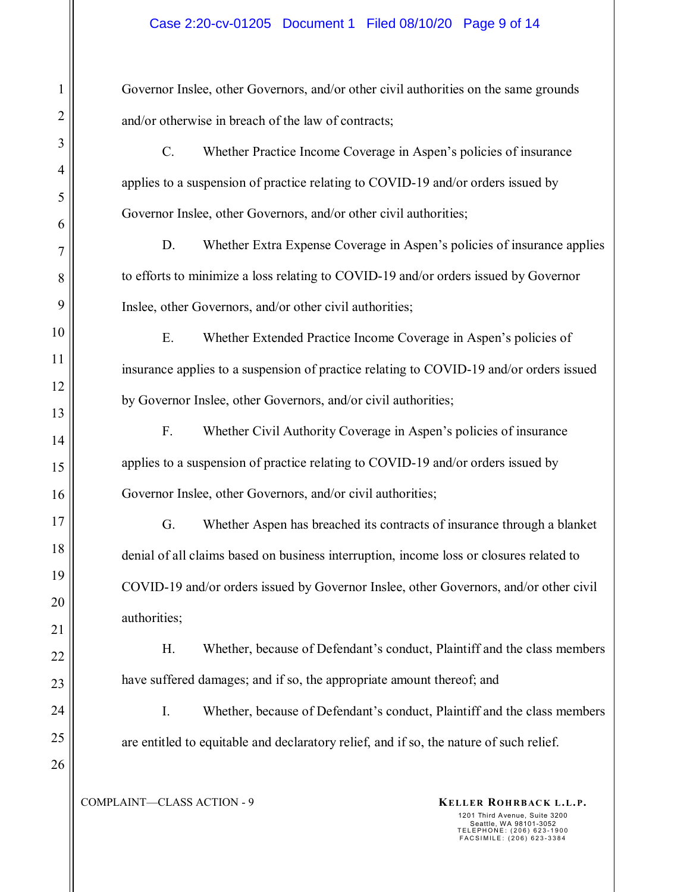Governor Inslee, other Governors, and/or other civil authorities on the same grounds and/or otherwise in breach of the law of contracts;

C. Whether Practice Income Coverage in Aspen's policies of insurance applies to a suspension of practice relating to COVID-19 and/or orders issued by Governor Inslee, other Governors, and/or other civil authorities;

D. Whether Extra Expense Coverage in Aspen's policies of insurance applies to efforts to minimize a loss relating to COVID-19 and/or orders issued by Governor Inslee, other Governors, and/or other civil authorities;

E. Whether Extended Practice Income Coverage in Aspen's policies of insurance applies to a suspension of practice relating to COVID-19 and/or orders issued by Governor Inslee, other Governors, and/or civil authorities;

F. Whether Civil Authority Coverage in Aspen's policies of insurance applies to a suspension of practice relating to COVID-19 and/or orders issued by Governor Inslee, other Governors, and/or civil authorities;

G. Whether Aspen has breached its contracts of insurance through a blanket denial of all claims based on business interruption, income loss or closures related to COVID-19 and/or orders issued by Governor Inslee, other Governors, and/or other civil authorities;

H. Whether, because of Defendant's conduct, Plaintiff and the class members have suffered damages; and if so, the appropriate amount thereof; and

I. Whether, because of Defendant's conduct, Plaintiff and the class members are entitled to equitable and declaratory relief, and if so, the nature of such relief.

1

2

3

4

5

6

7

8

9

10

11

12

13

14

15

16

17

18

19

20

21

22

23

24

25

26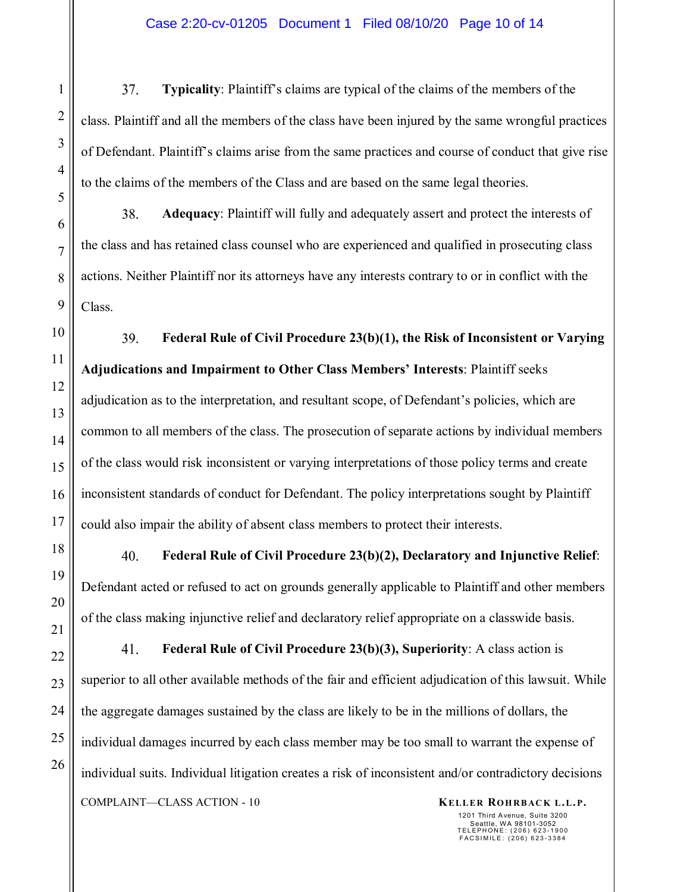37. **Typicality**: Plaintiff's claims are typical of the claims of the members of the class. Plaintiff and all the members of the class have been injured by the same wrongful practices of Defendant. Plaintiff's claims arise from the same practices and course of conduct that give rise to the claims of the members of the Class and are based on the same legal theories.

38. **Adequacy**: Plaintiff will fully and adequately assert and protect the interests of the class and has retained class counsel who are experienced and qualified in prosecuting class actions. Neither Plaintiff nor its attorneys have any interests contrary to or in conflict with the Class.

39. **Federal Rule of Civil Procedure 23(b)(1), the Risk of Inconsistent or Varying Adjudications and Impairment to Other Class Members' Interests**: Plaintiff seeks adjudication as to the interpretation, and resultant scope, of Defendant's policies, which are common to all members of the class. The prosecution of separate actions by individual members of the class would risk inconsistent or varying interpretations of those policy terms and create inconsistent standards of conduct for Defendant. The policy interpretations sought by Plaintiff could also impair the ability of absent class members to protect their interests.

40. **Federal Rule of Civil Procedure 23(b)(2), Declaratory and Injunctive Relief**: Defendant acted or refused to act on grounds generally applicable to Plaintiff and other members of the class making injunctive relief and declaratory relief appropriate on a classwide basis.

41. **Federal Rule of Civil Procedure 23(b)(3), Superiority**: A class action is superior to all other available methods of the fair and efficient adjudication of this lawsuit. While the aggregate damages sustained by the class are likely to be in the millions of dollars, the individual damages incurred by each class member may be too small to warrant the expense of individual suits. Individual litigation creates a risk of inconsistent and/or contradictory decisions COMPLAINT—CLASS ACTION - 10 **KELLER ROHRBACK L.L.P.**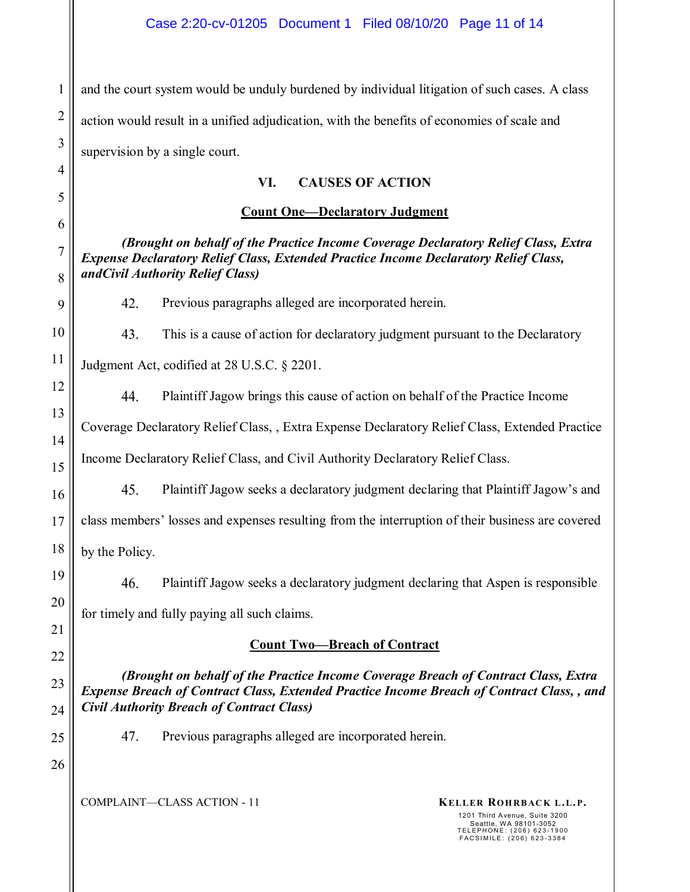1 2 3 and the court system would be unduly burdened by individual litigation of such cases. A class action would result in a unified adjudication, with the benefits of economies of scale and supervision by a single court.

## **VI. CAUSES OF ACTION**

## **Count One—Declaratory Judgment**

*(Brought on behalf of the Practice Income Coverage Declaratory Relief Class, Extra Expense Declaratory Relief Class, Extended Practice Income Declaratory Relief Class, andCivil Authority Relief Class)* 

42. Previous paragraphs alleged are incorporated herein.

43. This is a cause of action for declaratory judgment pursuant to the Declaratory

Judgment Act, codified at 28 U.S.C. § 2201.

4

5

6

7

8

9

10

11

12

13

14

15

16

17

18

19

20

21

22

23

24

25

26

44. Plaintiff Jagow brings this cause of action on behalf of the Practice Income Coverage Declaratory Relief Class, , Extra Expense Declaratory Relief Class, Extended Practice

Income Declaratory Relief Class, and Civil Authority Declaratory Relief Class.

45. Plaintiff Jagow seeks a declaratory judgment declaring that Plaintiff Jagow's and class members' losses and expenses resulting from the interruption of their business are covered by the Policy.

46. Plaintiff Jagow seeks a declaratory judgment declaring that Aspen is responsible for timely and fully paying all such claims.

# **Count Two—Breach of Contract**

*(Brought on behalf of the Practice Income Coverage Breach of Contract Class, Extra Expense Breach of Contract Class, Extended Practice Income Breach of Contract Class, , and Civil Authority Breach of Contract Class)* 

47. Previous paragraphs alleged are incorporated herein.

COMPLAINT—CLASS ACTION - 11 **KELLER ROHRBACK L.L.P.**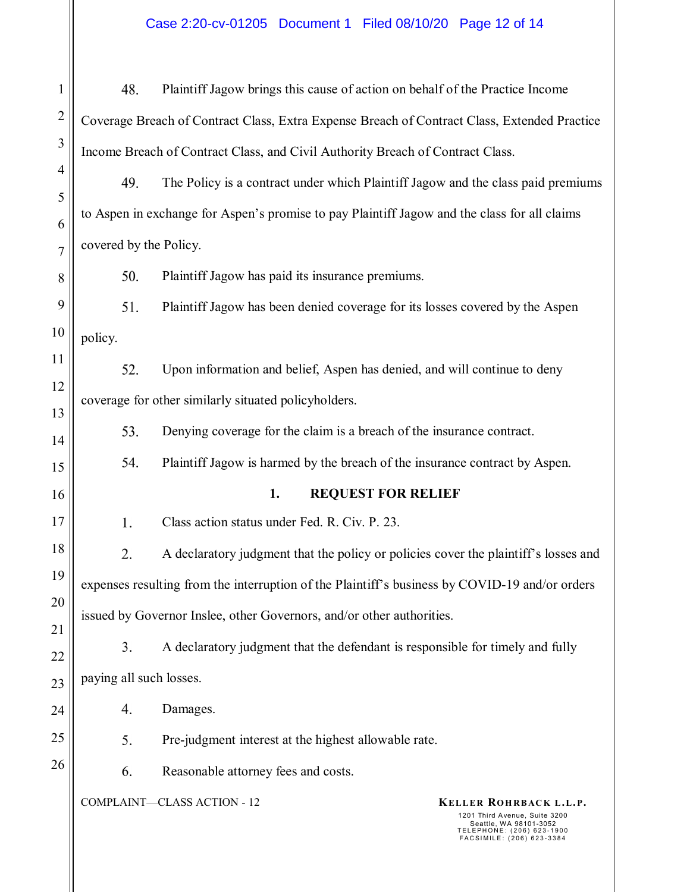# Case 2:20-cv-01205 Document 1 Filed 08/10/20 Page 12 of 14

| $\mathbf{1}$   | 48.                                                                                                      | Plaintiff Jagow brings this cause of action on behalf of the Practice Income        |                                                                                                                                             |  |  |
|----------------|----------------------------------------------------------------------------------------------------------|-------------------------------------------------------------------------------------|---------------------------------------------------------------------------------------------------------------------------------------------|--|--|
| $\overline{2}$ | Coverage Breach of Contract Class, Extra Expense Breach of Contract Class, Extended Practice             |                                                                                     |                                                                                                                                             |  |  |
| 3              | Income Breach of Contract Class, and Civil Authority Breach of Contract Class.                           |                                                                                     |                                                                                                                                             |  |  |
| $\overline{4}$ | 49.                                                                                                      | The Policy is a contract under which Plaintiff Jagow and the class paid premiums    |                                                                                                                                             |  |  |
| 5<br>6         | to Aspen in exchange for Aspen's promise to pay Plaintiff Jagow and the class for all claims             |                                                                                     |                                                                                                                                             |  |  |
| $\overline{7}$ | covered by the Policy.                                                                                   |                                                                                     |                                                                                                                                             |  |  |
| 8              | 50.                                                                                                      | Plaintiff Jagow has paid its insurance premiums.                                    |                                                                                                                                             |  |  |
| 9              | 51.                                                                                                      | Plaintiff Jagow has been denied coverage for its losses covered by the Aspen        |                                                                                                                                             |  |  |
| 10             | policy.                                                                                                  |                                                                                     |                                                                                                                                             |  |  |
| 11             | 52.                                                                                                      | Upon information and belief, Aspen has denied, and will continue to deny            |                                                                                                                                             |  |  |
| 12             | coverage for other similarly situated policyholders.                                                     |                                                                                     |                                                                                                                                             |  |  |
| 13             | 53.                                                                                                      | Denying coverage for the claim is a breach of the insurance contract.               |                                                                                                                                             |  |  |
| 14<br>15       | 54.                                                                                                      | Plaintiff Jagow is harmed by the breach of the insurance contract by Aspen.         |                                                                                                                                             |  |  |
| 16             | 1.<br><b>REQUEST FOR RELIEF</b>                                                                          |                                                                                     |                                                                                                                                             |  |  |
| 17             | 1.                                                                                                       | Class action status under Fed. R. Civ. P. 23.                                       |                                                                                                                                             |  |  |
| 18             | 2.                                                                                                       | A declaratory judgment that the policy or policies cover the plaintiff's losses and |                                                                                                                                             |  |  |
| 19             | expenses resulting from the interruption of the Plaintiff's business by COVID-19 and/or orders           |                                                                                     |                                                                                                                                             |  |  |
| 20             | issued by Governor Inslee, other Governors, and/or other authorities.                                    |                                                                                     |                                                                                                                                             |  |  |
| 21             | 3.                                                                                                       |                                                                                     |                                                                                                                                             |  |  |
| 22             | A declaratory judgment that the defendant is responsible for timely and fully<br>paying all such losses. |                                                                                     |                                                                                                                                             |  |  |
| 23             |                                                                                                          |                                                                                     |                                                                                                                                             |  |  |
| 24<br>25       | 4.                                                                                                       | Damages.                                                                            |                                                                                                                                             |  |  |
| 26             | 5.                                                                                                       | Pre-judgment interest at the highest allowable rate.                                |                                                                                                                                             |  |  |
|                | 6.                                                                                                       | Reasonable attorney fees and costs.                                                 |                                                                                                                                             |  |  |
|                |                                                                                                          | <b>COMPLAINT-CLASS ACTION - 12</b>                                                  | KELLER ROHRBACK L.L.P.<br>1201 Third Avenue, Suite 3200<br>Seattle, WA 98101-3052<br>TELEPHONE: (206) 623-1900<br>FACSIMILE: (206) 623-3384 |  |  |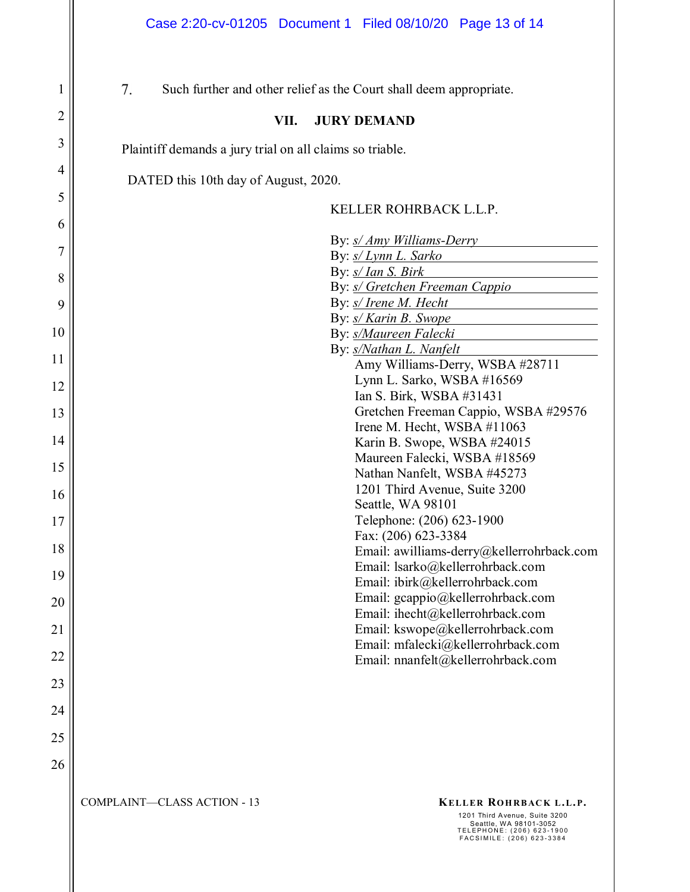| 1  | 7.<br>Such further and other relief as the Court shall deem appropriate.                                                                                                               |  |  |
|----|----------------------------------------------------------------------------------------------------------------------------------------------------------------------------------------|--|--|
| 2  | VII.<br><b>JURY DEMAND</b>                                                                                                                                                             |  |  |
| 3  | Plaintiff demands a jury trial on all claims so triable.                                                                                                                               |  |  |
| 4  | DATED this 10th day of August, 2020.                                                                                                                                                   |  |  |
| 5  | KELLER ROHRBACK L.L.P.                                                                                                                                                                 |  |  |
| 6  |                                                                                                                                                                                        |  |  |
| 7  | By: <i>s/ Amy Williams-Derry</i><br>By: s/ Lynn L. Sarko                                                                                                                               |  |  |
| 8  | By: <i>s/ Ian S. Birk</i>                                                                                                                                                              |  |  |
| 9  | By: <i>s/ Gretchen Freeman Cappio</i><br>By: s/ Irene M. Hecht<br><u> 1989 - Jan Stein Stein Stein Stein Stein Stein Stein Stein Stein Stein Stein Stein Stein Stein Stein Stein S</u> |  |  |
|    | By: s/ Karin B. Swope                                                                                                                                                                  |  |  |
| 10 | By: s/Maureen Falecki                                                                                                                                                                  |  |  |
| 11 | By: s/Nathan L. Nanfelt<br>Amy Williams-Derry, WSBA #28711                                                                                                                             |  |  |
|    | Lynn L. Sarko, WSBA #16569                                                                                                                                                             |  |  |
| 12 | Ian S. Birk, WSBA #31431                                                                                                                                                               |  |  |
| 13 | Gretchen Freeman Cappio, WSBA #29576                                                                                                                                                   |  |  |
|    | Irene M. Hecht, WSBA #11063                                                                                                                                                            |  |  |
| 14 | Karin B. Swope, WSBA #24015                                                                                                                                                            |  |  |
| 15 | Maureen Falecki, WSBA #18569<br>Nathan Nanfelt, WSBA #45273                                                                                                                            |  |  |
|    | 1201 Third Avenue, Suite 3200                                                                                                                                                          |  |  |
| 16 | Seattle, WA 98101                                                                                                                                                                      |  |  |
| 17 | Telephone: (206) 623-1900                                                                                                                                                              |  |  |
| 18 | Fax: (206) 623-3384<br>Email: awilliams-derry@kellerrohrback.com                                                                                                                       |  |  |
| 19 | Email: lsarko@kellerrohrback.com                                                                                                                                                       |  |  |
|    | Email: ibirk@kellerrohrback.com<br>Email: gcappio@kellerrohrback.com                                                                                                                   |  |  |
| 20 | Email: ihecht@kellerrohrback.com                                                                                                                                                       |  |  |
| 21 | Email: kswope@kellerrohrback.com<br>Email: mfalecki@kellerrohrback.com                                                                                                                 |  |  |
| 22 | Email: nnanfelt@kellerrohrback.com                                                                                                                                                     |  |  |
| 23 |                                                                                                                                                                                        |  |  |
| 24 |                                                                                                                                                                                        |  |  |
| 25 |                                                                                                                                                                                        |  |  |
| 26 |                                                                                                                                                                                        |  |  |
|    | <b>COMPLAINT-CLASS ACTION - 13</b><br>KELLER ROHRBACK L.L.P.                                                                                                                           |  |  |